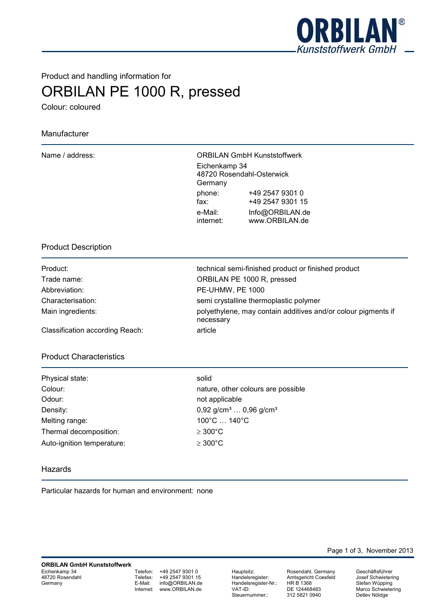

# Product and handling information for ORBILAN PE 1000 R, pressed

Colour: coloured

# Manufacturer

ORBILAN GmbH Kunststoffwerk Eichenkamp 34 48720 Rosendahl-Osterwick Germany phone: +49 2547 9301 0 fax: +49 2547 9301 15 e-Mail: Info@ORBILAN.de internet: www.ORBILAN.de

## Product Description

| Product:          |
|-------------------|
| Trade name:       |
| Abbreviation:     |
| Characterisation: |
| Main ingredients: |
|                   |

technical semi-finished product or finished product ORBILAN PE 1000 R, pressed PE-UHMW, PE 1000 semi crystalline thermoplastic polymer polyethylene, may contain additives and/or colour pigments if necessary

Classification according Reach: article

## Product Characteristics

| Physical state:            | solid             |
|----------------------------|-------------------|
| Colour:                    | natur             |
| Odour:                     | not a             |
| Density:                   | 0.92 <sub>1</sub> |
| Melting range:             | $100^\circ$       |
| Thermal decomposition:     | $\geq 300$        |
| Auto-ignition temperature: | $\geq$ 300        |

nature, other colours are possible not applicable  $0,92$  g/cm<sup>3</sup> ...  $0,96$  g/cm<sup>3</sup> 100°C ... 140°C  $\geq 300^{\circ}$ C  $\geq 300^{\circ}$ C

#### Hazards

Particular hazards for human and environment: none

Telefon: +49 2547 9301 0<br>Telefax: +49 2547 9301 15 Telefax: +49 2547 9301 15<br>E-Mail: info@ORBILAN.de info@ORBILAN.de Internet: www.ORBILAN.de

Hauptsitz: Rosendahl, Germany Handelsregister-Nr.:<br>VAT-ID: Steuernummer.:

Amtsgericht Coesfeld<br>HR B 1368 DE 124468483<br>312 5821 0940

Page 1 of 3, November 2013

Geschäftsführer Josef Schwietering Stefan Wüpping Marco Schwietering Detlev Nöldge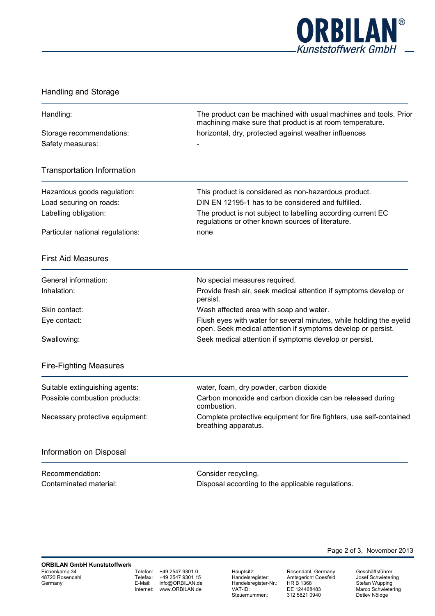

## Handling and Storage

| The product can be machined with usual machines and tools. Prior<br>Handling:<br>machining make sure that product is at room temperature. |                                                                                                                                                                         |
|-------------------------------------------------------------------------------------------------------------------------------------------|-------------------------------------------------------------------------------------------------------------------------------------------------------------------------|
| Storage recommendations:<br>Safety measures:                                                                                              | horizontal, dry, protected against weather influences                                                                                                                   |
| <b>Transportation Information</b>                                                                                                         |                                                                                                                                                                         |
| Hazardous goods regulation:                                                                                                               | This product is considered as non-hazardous product.                                                                                                                    |
| Load securing on roads:<br>Labelling obligation:                                                                                          | DIN EN 12195-1 has to be considered and fulfilled.<br>The product is not subject to labelling according current EC<br>regulations or other known sources of literature. |
| Particular national regulations:                                                                                                          | none                                                                                                                                                                    |
| <b>First Aid Measures</b>                                                                                                                 |                                                                                                                                                                         |
| General information:                                                                                                                      | No special measures required.                                                                                                                                           |
| Inhalation:                                                                                                                               | Provide fresh air, seek medical attention if symptoms develop or<br>persist.                                                                                            |
| Skin contact:                                                                                                                             | Wash affected area with soap and water.                                                                                                                                 |
| Eye contact:                                                                                                                              | Flush eyes with water for several minutes, while holding the eyelid<br>open. Seek medical attention if symptoms develop or persist.                                     |
| Swallowing:                                                                                                                               | Seek medical attention if symptoms develop or persist.                                                                                                                  |
| <b>Fire-Fighting Measures</b>                                                                                                             |                                                                                                                                                                         |
| Suitable extinguishing agents:                                                                                                            | water, foam, dry powder, carbon dioxide                                                                                                                                 |
| Possible combustion products:                                                                                                             | Carbon monoxide and carbon dioxide can be released during<br>combustion.                                                                                                |
| Necessary protective equipment:                                                                                                           | Complete protective equipment for fire fighters, use self-contained<br>breathing apparatus.                                                                             |
| Information on Disposal                                                                                                                   |                                                                                                                                                                         |
| Recommendation:                                                                                                                           | Consider recycling.                                                                                                                                                     |
| Contaminated material:                                                                                                                    | Disposal according to the applicable regulations.                                                                                                                       |
|                                                                                                                                           |                                                                                                                                                                         |

Telefon: +49 2547 9301 0<br>Telefax: +49 2547 9301 15 Telefax: +49 2547 9301 15 E-Mail: info@ORBILAN.de Internet: www.ORBILAN.de

Hauptsitz: Rosendahl, Germany Handelsregister-Nr.:<br>VAT-ID: VAT-ID: DE 124468483<br>Steuernummer.: 012 5821 0940

Kosendam, Germany<br>Amtsgericht Coesfeld<br>HR B 1368 312 5821 0940

Geschäftsführer Josef Schwietering Stefan Wüpping Marco Schwietering Detlev Nöldge

Page 2 of 3, November 2013